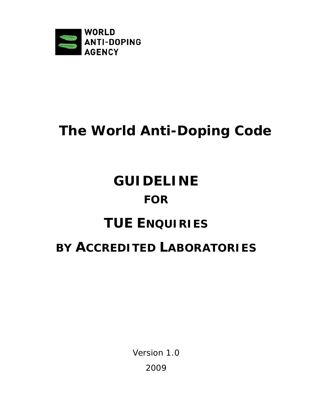

# **The World Anti-Doping Code**

# **GUIDELINE FOR**

### **TUE ENQUIRIES**

### **BY ACCREDITED LABORATORIES**

Version 1.0 2009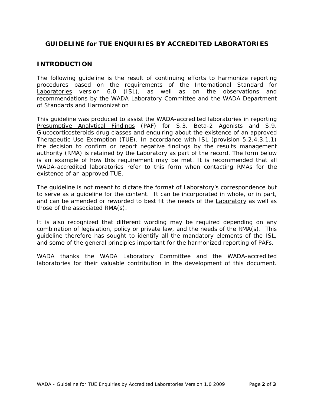### **GUIDELINE for TUE ENQUIRIES BY ACCREDITED LABORATORIES**

#### **INTRODUCTION**

The following guideline is the result of continuing efforts to harmonize reporting procedures based on the requirements of the *International Standard for*  Laboratories version 6.0 (ISL), as well as on the observations and recommendations by the *WADA* Laboratory Committee and the *WADA* Department of Standards and Harmonization

This guideline was produced to assist the *WADA*-accredited laboratories in reporting Presumptive Analytical Findings (PAF) for S.3. Beta-2 Agonists and S.9. Glucocorticosteroids drug classes and enquiring about the existence of an approved Therapeutic Use Exemption (TUE). In accordance with ISL (provision 5.2.4.3.1.1) the decision to confirm or report negative findings by the results management authority (RMA) is retained by the Laboratory as part of the record. The form below is an example of how this requirement may be met. It is recommended that all *WADA*-accredited laboratories refer to this form when contacting RMAs for the existence of an approved TUE.

The guideline is not meant to dictate the format of **Laboratory's correspondence but** to serve as a guideline for the content. It can be incorporated in whole, or in part, and can be amended or reworded to best fit the needs of the Laboratory as well as those of the associated RMA(s).

It is also recognized that different wording may be required depending on any combination of legislation, policy or private law, and the needs of the RMA(s). This guideline therefore has sought to identify all the mandatory elements of the ISL, and some of the general principles important for the harmonized reporting of PAFs.

*WADA* thanks the *WADA* Laboratory Committee and the *WADA*-accredited laboratories for their valuable contribution in the development of this document.